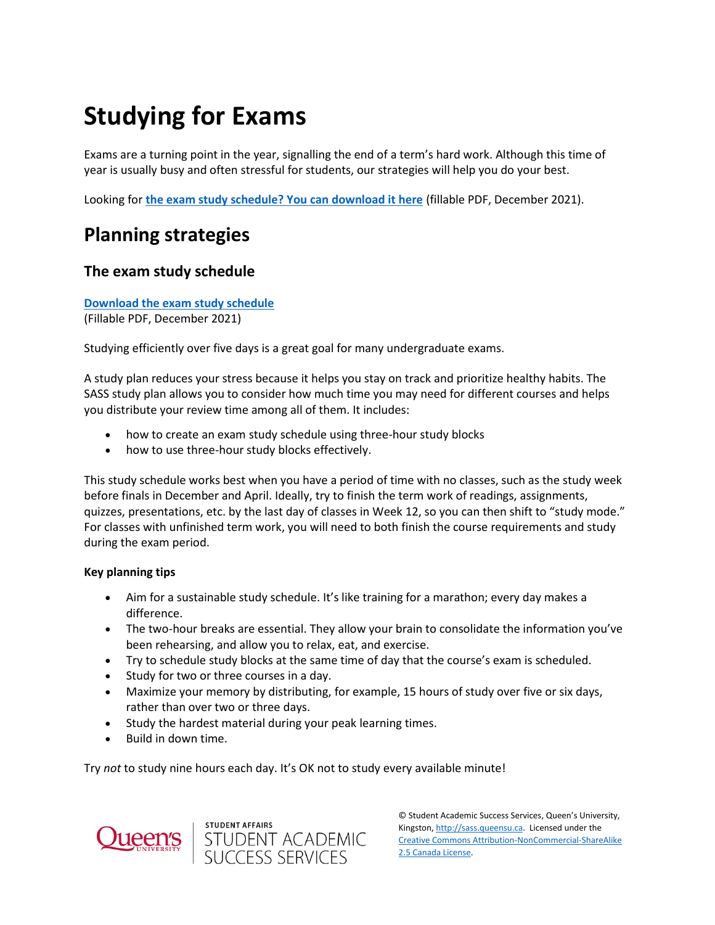# **Studying for Exams**

Exams are a turning point in the year, signalling the end of a term's hard work. Although this time of year is usually busy and often stressful for students, our strategies will help you do your best.

Looking for **[the exam study schedule? You can download it here](https://sass.queensu.ca/wp-content/uploads/2021/11/December-2021-Exam-Study-Schedule.pdf)** (fillable PDF, December 2021).

# **Planning strategies**

## **The exam study schedule**

**[Download the exam study schedule](https://sass.queensu.ca/wp-content/uploads/2021/11/December-2021-Exam-Study-Schedule.pdf)**

(Fillable PDF, December 2021)

Studying efficiently over five days is a great goal for many undergraduate exams.

A study plan reduces your stress because it helps you stay on track and prioritize healthy habits. The SASS study plan allows you to consider how much time you may need for different courses and helps you distribute your review time among all of them. It includes:

- how to create an exam study schedule using three-hour study blocks
- how to use three-hour study blocks effectively.

This study schedule works best when you have a period of time with no classes, such as the study week before finals in December and April. Ideally, try to finish the term work of readings, assignments, quizzes, presentations, etc. by the last day of classes in Week 12, so you can then shift to "study mode." For classes with unfinished term work, you will need to both finish the course requirements and study during the exam period.

## **Key planning tips**

- Aim for a sustainable study schedule. It's like training for a marathon; every day makes a difference.
- The two-hour breaks are essential. They allow your brain to consolidate the information you've been rehearsing, and allow you to relax, eat, and exercise.
- Try to schedule study blocks at the same time of day that the course's exam is scheduled.
- Study for two or three courses in a day.
- Maximize your memory by distributing, for example, 15 hours of study over five or six days, rather than over two or three days.
- Study the hardest material during your peak learning times.
- Build in down time.

Try *not* to study nine hours each day. It's OK not to study every available minute!



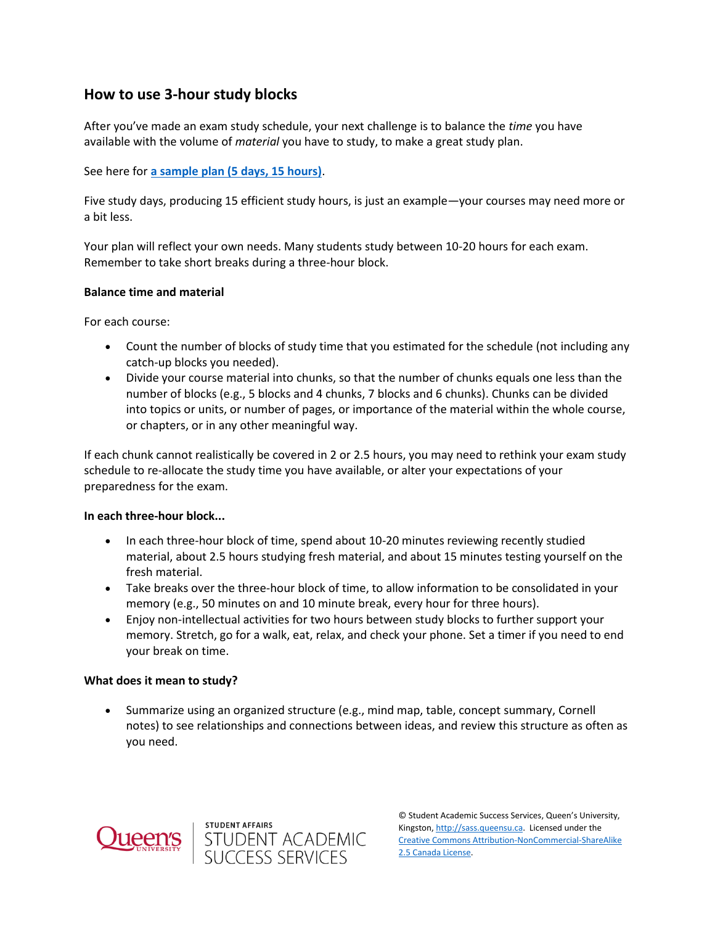## **How to use 3-hour study blocks**

After you've made an exam study schedule, your next challenge is to balance the *time* you have available with the volume of *material* you have to study, to make a great study plan.

See here for **[a sample plan \(5 days, 15 hours\)](https://sass.queensu.ca/wp-content/uploads/2019/12/The-Study-Plan-2018.pdf)**.

Five study days, producing 15 efficient study hours, is just an example—your courses may need more or a bit less.

Your plan will reflect your own needs. Many students study between 10-20 hours for each exam. Remember to take short breaks during a three-hour block.

## **Balance time and material**

For each course:

- Count the number of blocks of study time that you estimated for the schedule (not including any catch-up blocks you needed).
- Divide your course material into chunks, so that the number of chunks equals one less than the number of blocks (e.g., 5 blocks and 4 chunks, 7 blocks and 6 chunks). Chunks can be divided into topics or units, or number of pages, or importance of the material within the whole course, or chapters, or in any other meaningful way.

If each chunk cannot realistically be covered in 2 or 2.5 hours, you may need to rethink your exam study schedule to re-allocate the study time you have available, or alter your expectations of your preparedness for the exam.

## **In each three-hour block...**

- In each three-hour block of time, spend about 10-20 minutes reviewing recently studied material, about 2.5 hours studying fresh material, and about 15 minutes testing yourself on the fresh material.
- Take breaks over the three-hour block of time, to allow information to be consolidated in your memory (e.g., 50 minutes on and 10 minute break, every hour for three hours).
- Enjoy non-intellectual activities for two hours between study blocks to further support your memory. Stretch, go for a walk, eat, relax, and check your phone. Set a timer if you need to end your break on time.

## **What does it mean to study?**

 Summarize using an organized structure (e.g., mind map, table, concept summary, Cornell notes) to see relationships and connections between ideas, and review this structure as often as you need.



STUDENT AFFAIRS<br>STUDENT ACADEMIC<br>SUCCESS SERVICES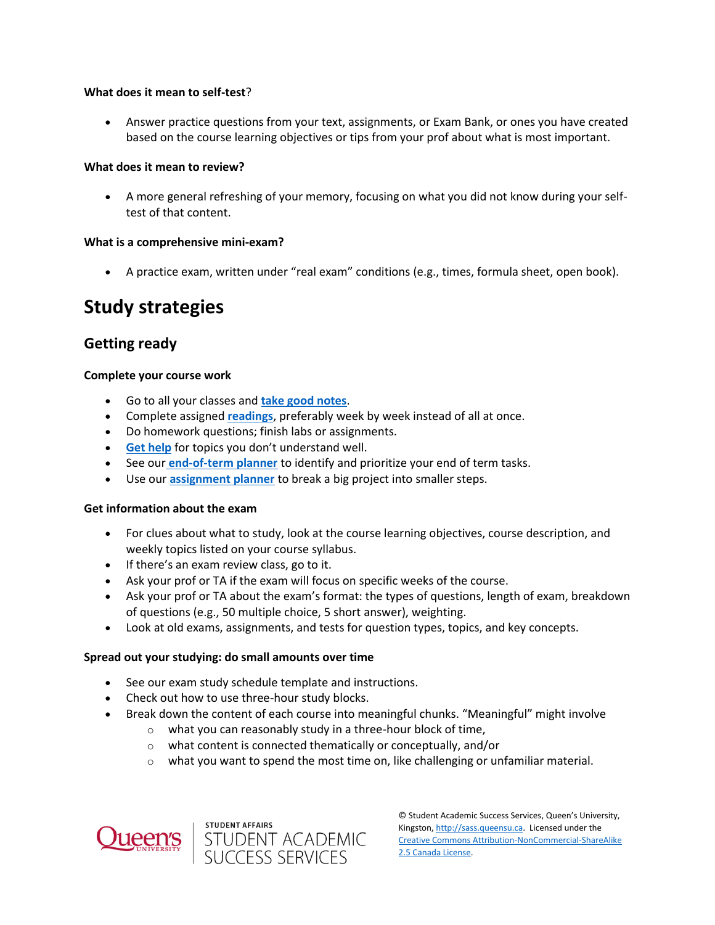## **What does it mean to self-test**?

 Answer practice questions from your text, assignments, or Exam Bank, or ones you have created based on the course learning objectives or tips from your prof about what is most important.

## **What does it mean to review?**

 A more general refreshing of your memory, focusing on what you did not know during your selftest of that content.

### **What is a comprehensive mini-exam?**

A practice exam, written under "real exam" conditions (e.g., times, formula sheet, open book).

# **Study strategies**

## **Getting ready**

### **Complete your course work**

- Go to all your classes and **[take good notes](https://wp3-dev.its.queensu.ca/ha/sasswww/resources/note-taking)**.
- Complete assigned **[readings](https://wp3-dev.its.queensu.ca/ha/sasswww/resources/reading)**, preferably week by week instead of all at once.
- Do homework questions; finish labs or assignments.
- **[Get help](https://wp3-dev.its.queensu.ca/ha/sasswww/resources/communicating-profs-and-tas)** for topics you don't understand well.
- See our **[end-of-term planner](https://sass.queensu.ca/wp-content/uploads/2019/02/Term-Calendar-Template-2019.pdf)** to identify and prioritize your end of term tasks.
- Use our **[assignment planner](https://wp3-dev.its.queensu.ca/ha/sasswww/assignments)** to break a big project into smaller steps.

#### **Get information about the exam**

- For clues about what to study, look at the course learning objectives, course description, and weekly topics listed on your course syllabus.
- If there's an exam review class, go to it.
- Ask your prof or TA if the exam will focus on specific weeks of the course.
- Ask your prof or TA about the exam's format: the types of questions, length of exam, breakdown of questions (e.g., 50 multiple choice, 5 short answer), weighting.
- Look at old exams, assignments, and tests for question types, topics, and key concepts.

#### **Spread out your studying: do small amounts over time**

- See our exam study schedule template and instructions.
- Check out how to use three-hour study blocks.
- Break down the content of each course into meaningful chunks. "Meaningful" might involve
	- $\circ$  what you can reasonably study in a three-hour block of time,
	- o what content is connected thematically or conceptually, and/or
	- $\circ$  what you want to spend the most time on, like challenging or unfamiliar material.



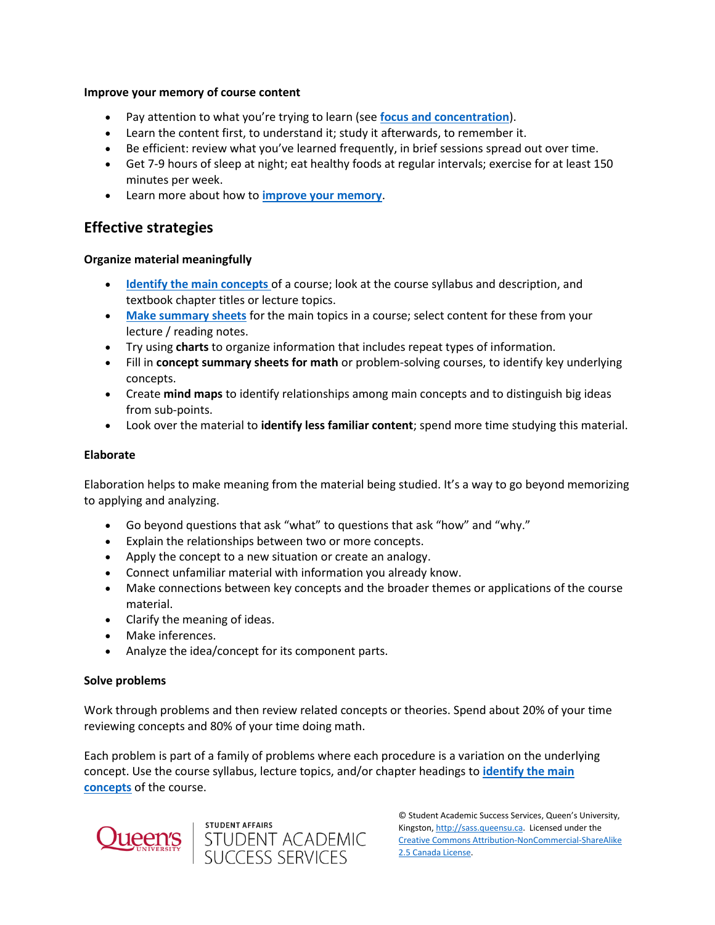### **Improve your memory of course content**

- Pay attention to what you're trying to learn (see **[focus and concentration](https://wp3-dev.its.queensu.ca/ha/sasswww/resources/focus-and-concentration)**).
- Learn the content first, to understand it; study it afterwards, to remember it.
- Be efficient: review what you've learned frequently, in brief sessions spread out over time.
- Get 7-9 hours of sleep at night; eat healthy foods at regular intervals; exercise for at least 150 minutes per week.
- Learn more about how to **[improve your memory](https://wp3-dev.its.queensu.ca/ha/sasswww/resources/maximizing-your-memory)**.

## **Effective strategies**

## **Organize material meaningfully**

- **[Identify the main concepts](https://wp3-dev.its.queensu.ca/ha/sasswww/resources/math-problem-solving)** of a course; look at the course syllabus and description, and textbook chapter titles or lecture topics.
- **[Make summary sheets](https://wp3-dev.its.queensu.ca/ha/sasswww/resources/math-problem-solving)** for the main topics in a course; select content for these from your lecture / reading notes.
- Try using **charts** to organize information that includes repeat types of information.
- Fill in **concept summary sheets for math** or problem-solving courses, to identify key underlying concepts.
- Create **mind maps** to identify relationships among main concepts and to distinguish big ideas from sub-points.
- Look over the material to **identify less familiar content**; spend more time studying this material.

## **Elaborate**

Elaboration helps to make meaning from the material being studied. It's a way to go beyond memorizing to applying and analyzing.

- Go beyond questions that ask "what" to questions that ask "how" and "why."
- Explain the relationships between two or more concepts.
- Apply the concept to a new situation or create an analogy.
- Connect unfamiliar material with information you already know.
- Make connections between key concepts and the broader themes or applications of the course material.
- Clarify the meaning of ideas.
- Make inferences.
- Analyze the idea/concept for its component parts.

## **Solve problems**

Work through problems and then review related concepts or theories. Spend about 20% of your time reviewing concepts and 80% of your time doing math.

Each problem is part of a family of problems where each procedure is a variation on the underlying concept. Use the course syllabus, lecture topics, and/or chapter headings to **[identify the main](https://wp3-dev.its.queensu.ca/ha/sasswww/resources/math-problem-solving)  [concepts](https://wp3-dev.its.queensu.ca/ha/sasswww/resources/math-problem-solving)** of the course.



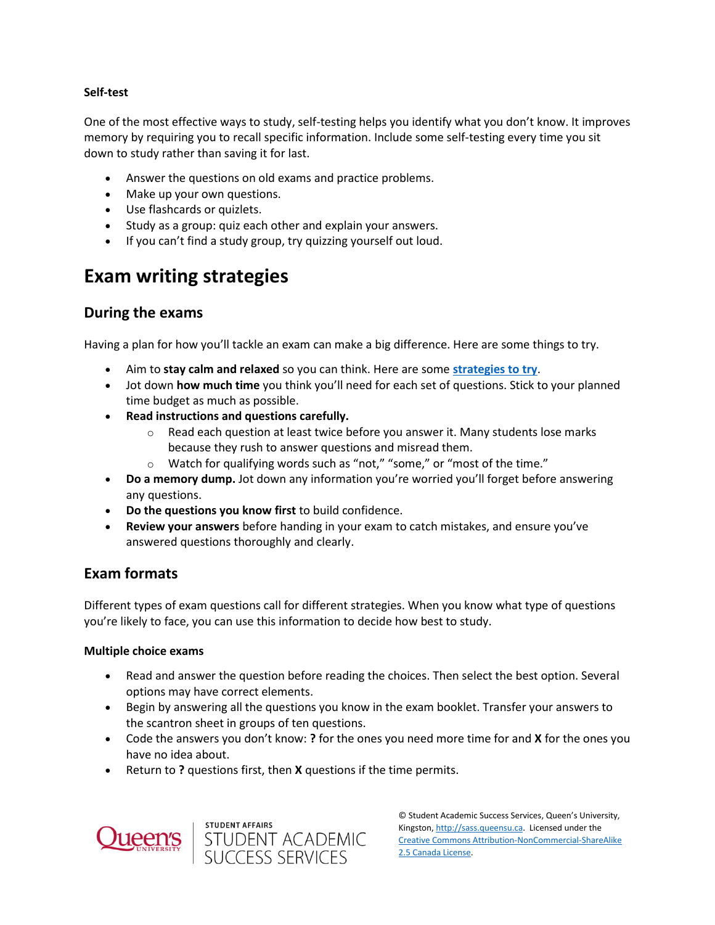## **Self-test**

One of the most effective ways to study, self-testing helps you identify what you don't know. It improves memory by requiring you to recall specific information. Include some self-testing every time you sit down to study rather than saving it for last.

- Answer the questions on old exams and practice problems.
- Make up your own questions.
- Use flashcards or quizlets.
- Study as a group: quiz each other and explain your answers.
- If you can't find a study group, try quizzing yourself out loud.

## **Exam writing strategies**

## **During the exams**

Having a plan for how you'll tackle an exam can make a big difference. Here are some things to try.

- Aim to **stay calm and relaxed** so you can think. Here are some **[strategies to try](https://wp3-dev.its.queensu.ca/ha/sasswww/resources/managing-test-anxiety)**.
- Jot down **how much time** you think you'll need for each set of questions. Stick to your planned time budget as much as possible.
- **Read instructions and questions carefully.**
	- $\circ$  Read each question at least twice before you answer it. Many students lose marks because they rush to answer questions and misread them.
	- o Watch for qualifying words such as "not," "some," or "most of the time."
- **Do a memory dump.** Jot down any information you're worried you'll forget before answering any questions.
- **Do the questions you know first** to build confidence.
- **Review your answers** before handing in your exam to catch mistakes, and ensure you've answered questions thoroughly and clearly.

## **Exam formats**

Different types of exam questions call for different strategies. When you know what type of questions you're likely to face, you can use this information to decide how best to study.

## **Multiple choice exams**

- Read and answer the question before reading the choices. Then select the best option. Several options may have correct elements.
- Begin by answering all the questions you know in the exam booklet. Transfer your answers to the scantron sheet in groups of ten questions.
- Code the answers you don't know: **?** for the ones you need more time for and **X** for the ones you have no idea about.
- Return to **?** questions first, then **X** questions if the time permits.



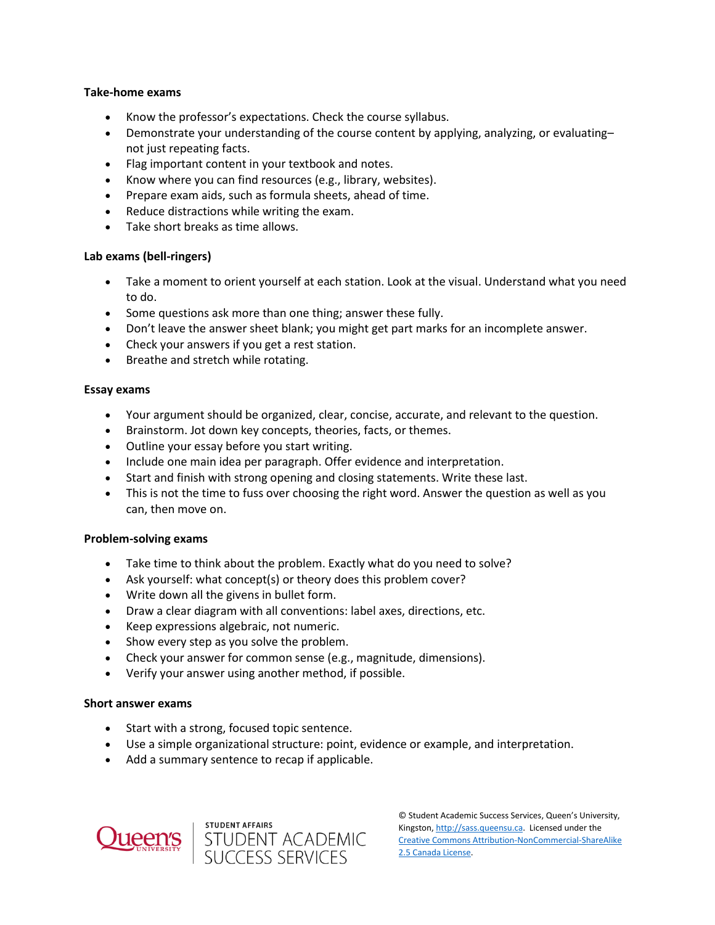## **Take-home exams**

- Know the professor's expectations. Check the course syllabus.
- Demonstrate your understanding of the course content by applying, analyzing, or evaluating– not just repeating facts.
- Flag important content in your textbook and notes.
- Know where you can find resources (e.g., library, websites).
- Prepare exam aids, such as formula sheets, ahead of time.
- Reduce distractions while writing the exam.
- Take short breaks as time allows.

## **Lab exams (bell-ringers)**

- Take a moment to orient yourself at each station. Look at the visual. Understand what you need to do.
- Some questions ask more than one thing; answer these fully.
- Don't leave the answer sheet blank; you might get part marks for an incomplete answer.
- Check your answers if you get a rest station.
- Breathe and stretch while rotating.

### **Essay exams**

- Your argument should be organized, clear, concise, accurate, and relevant to the question.
- Brainstorm. Jot down key concepts, theories, facts, or themes.
- Outline your essay before you start writing.
- Include one main idea per paragraph. Offer evidence and interpretation.
- Start and finish with strong opening and closing statements. Write these last.
- This is not the time to fuss over choosing the right word. Answer the question as well as you can, then move on.

#### **Problem-solving exams**

- Take time to think about the problem. Exactly what do you need to solve?
- Ask yourself: what concept(s) or theory does this problem cover?
- Write down all the givens in bullet form.
- Draw a clear diagram with all conventions: label axes, directions, etc.
- Keep expressions algebraic, not numeric.
- Show every step as you solve the problem.
- Check your answer for common sense (e.g., magnitude, dimensions).
- Verify your answer using another method, if possible.

## **Short answer exams**

- Start with a strong, focused topic sentence.
- Use a simple organizational structure: point, evidence or example, and interpretation.
- Add a summary sentence to recap if applicable.